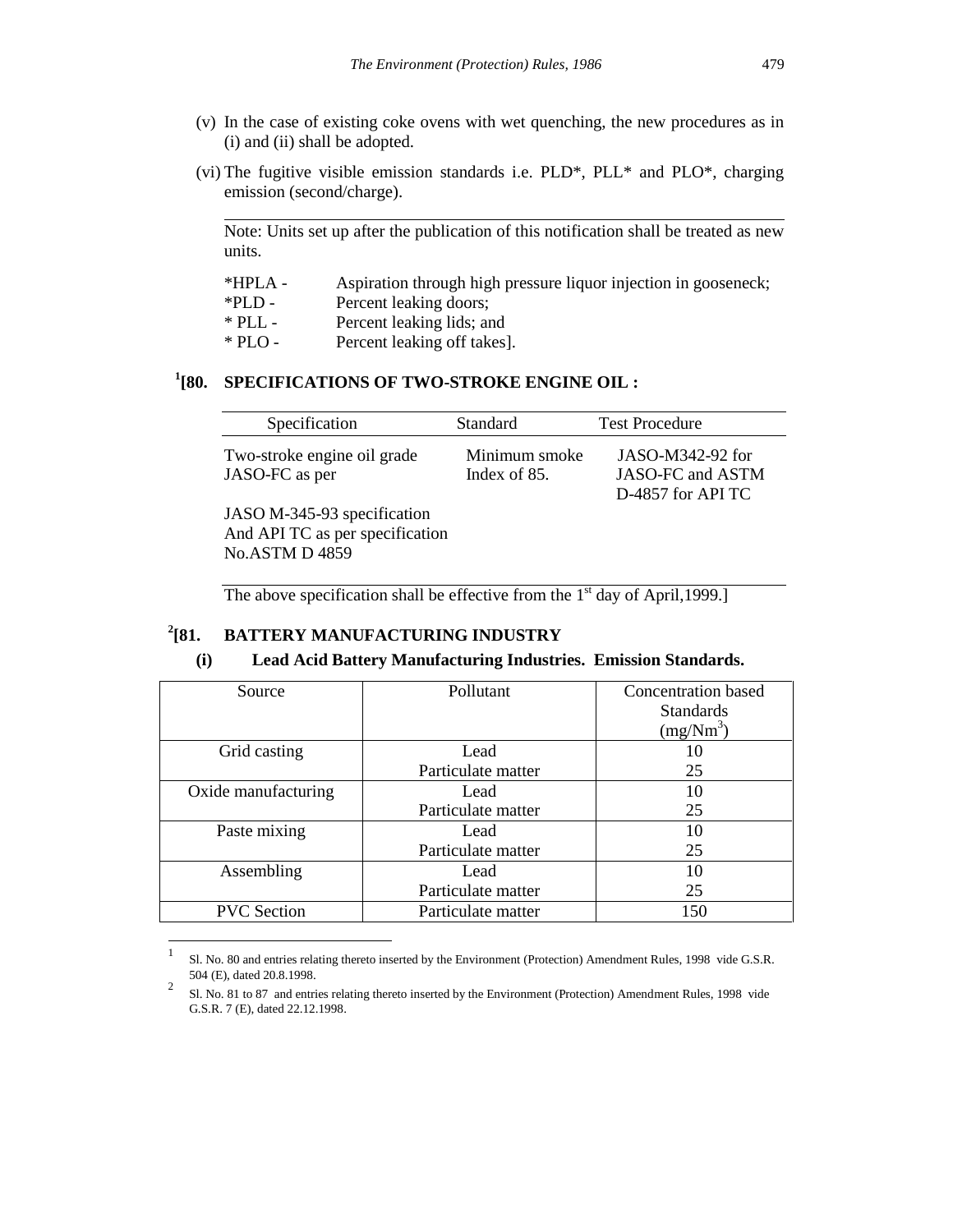- (v) In the case of existing coke ovens with wet quenching, the new procedures as in (i) and (ii) shall be adopted.
- (vi) The fugitive visible emission standards i.e. PLD\*, PLL\* and PLO\*, charging emission (second/charge).

Note: Units set up after the publication of this notification shall be treated as new units.

- \*HPLA Aspiration through high pressure liquor injection in gooseneck;
- \*PLD Percent leaking doors;

l

 $\overline{a}$ 

- \* PLL Percent leaking lids; and
- \* PLO Percent leaking off takes].

# **1 [80. SPECIFICATIONS OF TWO-STROKE ENGINE OIL :**

| Specification                                                                           | <b>Standard</b>               | <b>Test Procedure</b>                                     |
|-----------------------------------------------------------------------------------------|-------------------------------|-----------------------------------------------------------|
| Two-stroke engine oil grade<br>JASO-FC as per                                           | Minimum smoke<br>Index of 85. | JASO-M342-92 for<br>JASO-FC and ASTM<br>D-4857 for API TC |
| JASO M-345-93 specification<br>And API TC as per specification<br><b>No.ASTM D 4859</b> |                               |                                                           |

The above specification shall be effective from the  $1<sup>st</sup>$  day of April,1999.]

#### $^{2}$ [81. **[81. BATTERY MANUFACTURING INDUSTRY**

#### **(i) Lead Acid Battery Manufacturing Industries. Emission Standards.**

| Source              | Pollutant          | <b>Concentration</b> based |
|---------------------|--------------------|----------------------------|
|                     |                    | <b>Standards</b>           |
|                     |                    | (mg/Nm <sup>3</sup> )      |
| Grid casting        | Lead               |                            |
|                     | Particulate matter | 25                         |
| Oxide manufacturing | Lead               | 10                         |
|                     | Particulate matter | 25                         |
| Paste mixing        | Lead               | 10                         |
|                     | Particulate matter | 25                         |
| Assembling          | Lead               | 10                         |
|                     | Particulate matter | 25                         |
| <b>PVC</b> Section  | Particulate matter | 150                        |

<sup>1</sup> Sl. No. 80 and entries relating thereto inserted by the Environment (Protection) Amendment Rules, 1998 vide G.S.R. 504 (E), dated 20.8.1998.

<sup>2</sup> Sl. No. 81 to 87 and entries relating thereto inserted by the Environment (Protection) Amendment Rules, 1998 vide G.S.R. 7 (E), dated 22.12.1998.